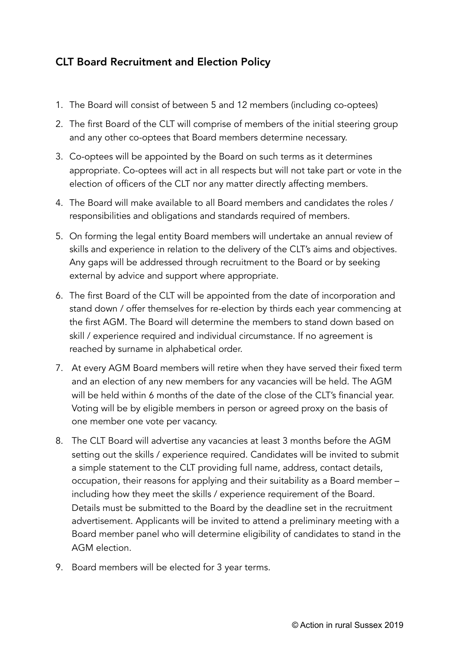## CLT Board Recruitment and Election Policy

- 1. The Board will consist of between 5 and 12 members (including co-optees)
- 2. The first Board of the CLT will comprise of members of the initial steering group and any other co-optees that Board members determine necessary.
- 3. Co-optees will be appointed by the Board on such terms as it determines appropriate. Co-optees will act in all respects but will not take part or vote in the election of officers of the CLT nor any matter directly affecting members.
- 4. The Board will make available to all Board members and candidates the roles / responsibilities and obligations and standards required of members.
- 5. On forming the legal entity Board members will undertake an annual review of skills and experience in relation to the delivery of the CLT's aims and objectives. Any gaps will be addressed through recruitment to the Board or by seeking external by advice and support where appropriate.
- 6. The first Board of the CLT will be appointed from the date of incorporation and stand down / offer themselves for re-election by thirds each year commencing at the first AGM. The Board will determine the members to stand down based on skill / experience required and individual circumstance. If no agreement is reached by surname in alphabetical order.
- 7. At every AGM Board members will retire when they have served their fixed term and an election of any new members for any vacancies will be held. The AGM will be held within 6 months of the date of the close of the CLT's financial year. Voting will be by eligible members in person or agreed proxy on the basis of one member one vote per vacancy.
- 8. The CLT Board will advertise any vacancies at least 3 months before the AGM setting out the skills / experience required. Candidates will be invited to submit a simple statement to the CLT providing full name, address, contact details, occupation, their reasons for applying and their suitability as a Board member – including how they meet the skills / experience requirement of the Board. Details must be submitted to the Board by the deadline set in the recruitment advertisement. Applicants will be invited to attend a preliminary meeting with a Board member panel who will determine eligibility of candidates to stand in the AGM election.
- 9. Board members will be elected for 3 year terms.